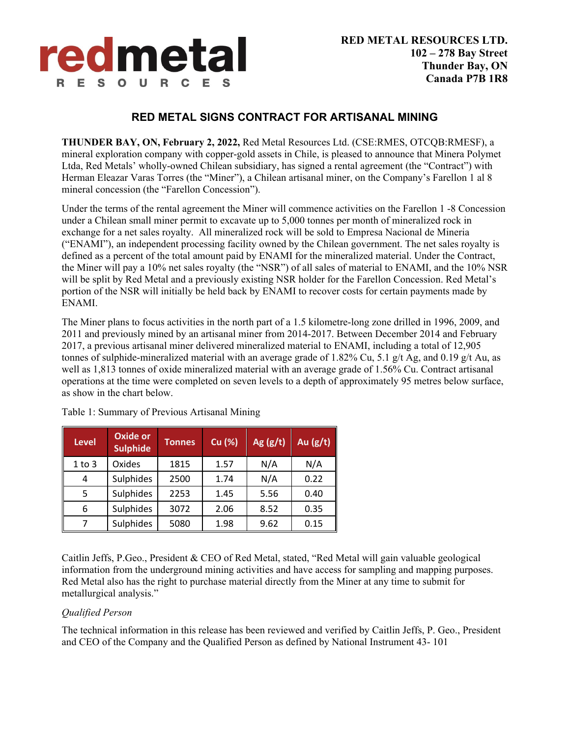

## **RED METAL SIGNS CONTRACT FOR ARTISANAL MINING**

**THUNDER BAY, ON, February 2, 2022,** Red Metal Resources Ltd. (CSE:RMES, OTCQB:RMESF), a mineral exploration company with copper-gold assets in Chile, is pleased to announce that Minera Polymet Ltda, Red Metals' wholly-owned Chilean subsidiary, has signed a rental agreement (the "Contract") with Herman Eleazar Varas Torres (the "Miner"), a Chilean artisanal miner, on the Company's Farellon 1 al 8 mineral concession (the "Farellon Concession").

Under the terms of the rental agreement the Miner will commence activities on the Farellon 1 -8 Concession under a Chilean small miner permit to excavate up to 5,000 tonnes per month of mineralized rock in exchange for a net sales royalty. All mineralized rock will be sold to Empresa Nacional de Mineria ("ENAMI"), an independent processing facility owned by the Chilean government. The net sales royalty is defined as a percent of the total amount paid by ENAMI for the mineralized material. Under the Contract, the Miner will pay a 10% net sales royalty (the "NSR") of all sales of material to ENAMI, and the 10% NSR will be split by Red Metal and a previously existing NSR holder for the Farellon Concession. Red Metal's portion of the NSR will initially be held back by ENAMI to recover costs for certain payments made by ENAMI.

The Miner plans to focus activities in the north part of a 1.5 kilometre-long zone drilled in 1996, 2009, and 2011 and previously mined by an artisanal miner from 2014-2017. Between December 2014 and February 2017, a previous artisanal miner delivered mineralized material to ENAMI, including a total of 12,905 tonnes of sulphide-mineralized material with an average grade of 1.82% Cu, 5.1 g/t Ag, and 0.19 g/t Au, as well as 1,813 tonnes of oxide mineralized material with an average grade of 1.56% Cu. Contract artisanal operations at the time were completed on seven levels to a depth of approximately 95 metres below surface, as show in the chart below.

| <b>Level</b> | <b>Oxide or</b><br><b>Sulphide</b> | <b>Tonnes</b> | Cu (%) | Ag $(g/t)$ | Au $(g/t)$ |
|--------------|------------------------------------|---------------|--------|------------|------------|
| $1$ to $3$   | Oxides                             | 1815          | 1.57   | N/A        | N/A        |
| 4            | Sulphides                          | 2500          | 1.74   | N/A        | 0.22       |
| 5            | Sulphides                          | 2253          | 1.45   | 5.56       | 0.40       |
| 6            | Sulphides                          | 3072          | 2.06   | 8.52       | 0.35       |
| 7            | Sulphides                          | 5080          | 1.98   | 9.62       | 0.15       |

Table 1: Summary of Previous Artisanal Mining

Caitlin Jeffs, P.Geo., President & CEO of Red Metal, stated, "Red Metal will gain valuable geological information from the underground mining activities and have access for sampling and mapping purposes. Red Metal also has the right to purchase material directly from the Miner at any time to submit for metallurgical analysis."

#### *Qualified Person*

The technical information in this release has been reviewed and verified by Caitlin Jeffs, P. Geo., President and CEO of the Company and the Qualified Person as defined by National Instrument 43- 101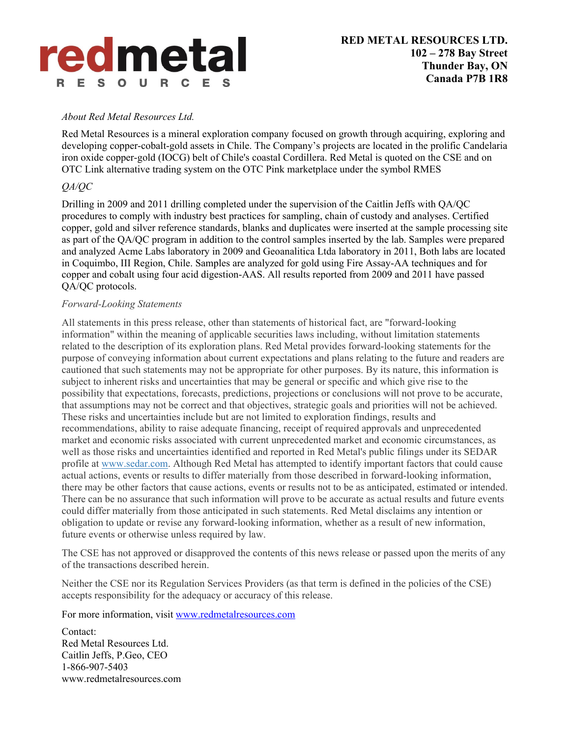# redmetal R E S O U R C E

#### *About Red Metal Resources Ltd.*

Red Metal Resources is a mineral exploration company focused on growth through acquiring, exploring and developing copper-cobalt-gold assets in Chile. The Company's projects are located in the prolific Candelaria iron oxide copper-gold (IOCG) belt of Chile's coastal Cordillera. Red Metal is quoted on the CSE and on OTC Link alternative trading system on the OTC Pink marketplace under the symbol RMES

### *QA/QC*

Drilling in 2009 and 2011 drilling completed under the supervision of the Caitlin Jeffs with QA/QC procedures to comply with industry best practices for sampling, chain of custody and analyses. Certified copper, gold and silver reference standards, blanks and duplicates were inserted at the sample processing site as part of the QA/QC program in addition to the control samples inserted by the lab. Samples were prepared and analyzed Acme Labs laboratory in 2009 and Geoanalitica Ltda laboratory in 2011, Both labs are located in Coquimbo, III Region, Chile. Samples are analyzed for gold using Fire Assay-AA techniques and for copper and cobalt using four acid digestion-AAS. All results reported from 2009 and 2011 have passed QA/QC protocols.

#### *Forward-Looking Statements*

All statements in this press release, other than statements of historical fact, are "forward-looking information" within the meaning of applicable securities laws including, without limitation statements related to the description of its exploration plans. Red Metal provides forward-looking statements for the purpose of conveying information about current expectations and plans relating to the future and readers are cautioned that such statements may not be appropriate for other purposes. By its nature, this information is subject to inherent risks and uncertainties that may be general or specific and which give rise to the possibility that expectations, forecasts, predictions, projections or conclusions will not prove to be accurate, that assumptions may not be correct and that objectives, strategic goals and priorities will not be achieved. These risks and uncertainties include but are not limited to exploration findings, results and recommendations, ability to raise adequate financing, receipt of required approvals and unprecedented market and economic risks associated with current unprecedented market and economic circumstances, as well as those risks and uncertainties identified and reported in Red Metal's public filings under its SEDAR profile at www.sedar.com. Although Red Metal has attempted to identify important factors that could cause actual actions, events or results to differ materially from those described in forward-looking information, there may be other factors that cause actions, events or results not to be as anticipated, estimated or intended. There can be no assurance that such information will prove to be accurate as actual results and future events could differ materially from those anticipated in such statements. Red Metal disclaims any intention or obligation to update or revise any forward-looking information, whether as a result of new information, future events or otherwise unless required by law.

The CSE has not approved or disapproved the contents of this news release or passed upon the merits of any of the transactions described herein.

Neither the CSE nor its Regulation Services Providers (as that term is defined in the policies of the CSE) accepts responsibility for the adequacy or accuracy of this release.

For more information, visit www.redmetalresources.com

Contact: Red Metal Resources Ltd. Caitlin Jeffs, P.Geo, CEO 1-866-907-5403 www.redmetalresources.com